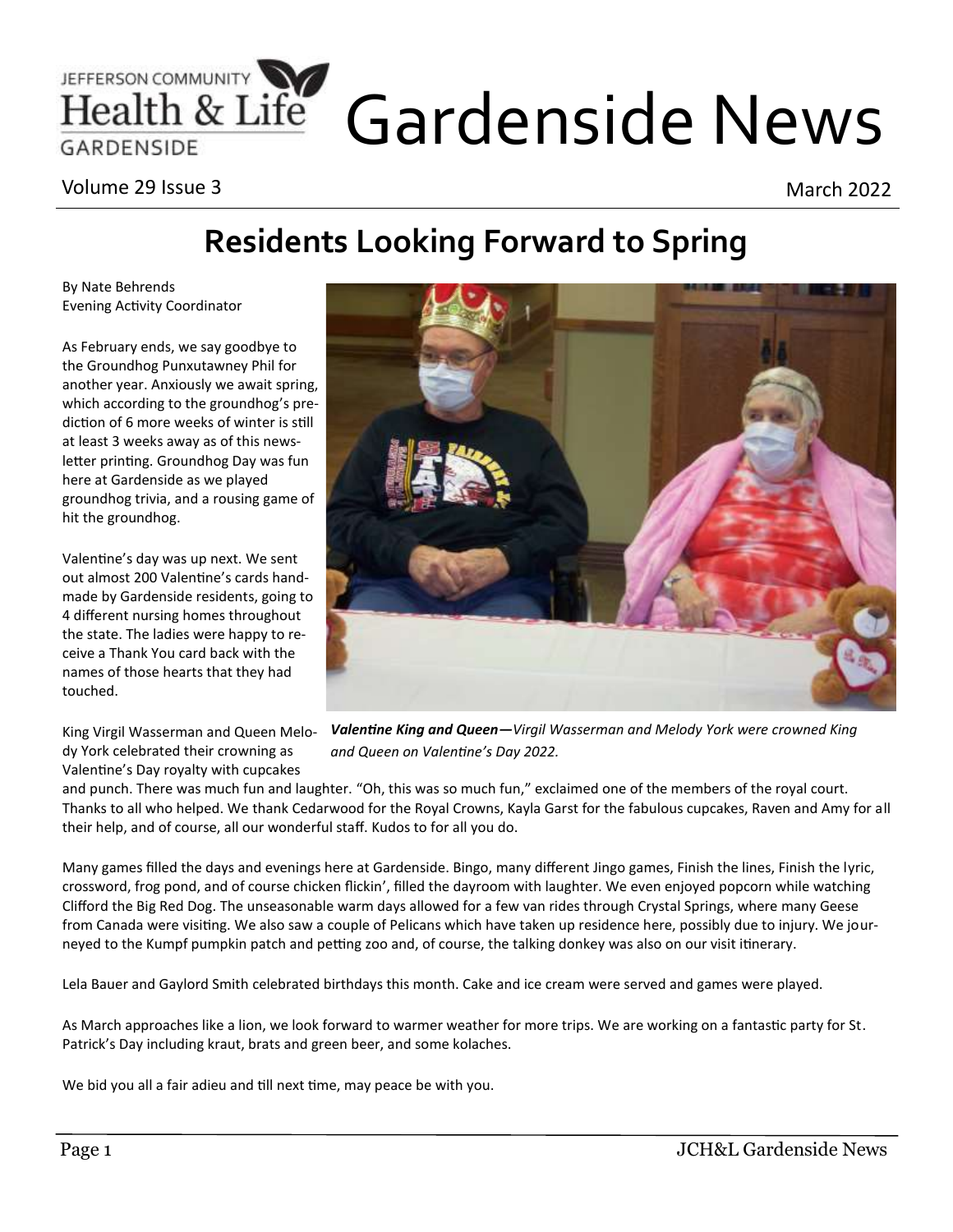# JEFFERSON COMMUNITY Life Gardenside News

Volume 29 Issue 3 March 2022

# **Residents Looking Forward to Spring**

By Nate Behrends Evening Activity Coordinator

As February ends, we say goodbye to the Groundhog Punxutawney Phil for another year. Anxiously we await spring, which according to the groundhog's prediction of 6 more weeks of winter is still at least 3 weeks away as of this newsletter printing. Groundhog Day was fun here at Gardenside as we played groundhog trivia, and a rousing game of hit the groundhog.

Valentine's day was up next. We sent out almost 200 Valentine's cards handmade by Gardenside residents, going to 4 different nursing homes throughout the state. The ladies were happy to receive a Thank You card back with the names of those hearts that they had touched.

King Virgil Wasserman and Queen Melody York celebrated their crowning as Valentine's Day royalty with cupcakes



*Valentine King and Queen—Virgil Wasserman and Melody York were crowned King and Queen on Valentine's Day 2022.*

and punch. There was much fun and laughter. "Oh, this was so much fun," exclaimed one of the members of the royal court. Thanks to all who helped. We thank Cedarwood for the Royal Crowns, Kayla Garst for the fabulous cupcakes, Raven and Amy for all their help, and of course, all our wonderful staff. Kudos to for all you do.

Many games filled the days and evenings here at Gardenside. Bingo, many different Jingo games, Finish the lines, Finish the lyric, crossword, frog pond, and of course chicken flickin', filled the dayroom with laughter. We even enjoyed popcorn while watching Clifford the Big Red Dog. The unseasonable warm days allowed for a few van rides through Crystal Springs, where many Geese from Canada were visiting. We also saw a couple of Pelicans which have taken up residence here, possibly due to injury. We journeyed to the Kumpf pumpkin patch and petting zoo and, of course, the talking donkey was also on our visit itinerary.

Lela Bauer and Gaylord Smith celebrated birthdays this month. Cake and ice cream were served and games were played.

As March approaches like a lion, we look forward to warmer weather for more trips. We are working on a fantastic party for St. Patrick's Day including kraut, brats and green beer, and some kolaches.

We bid you all a fair adieu and till next time, may peace be with you.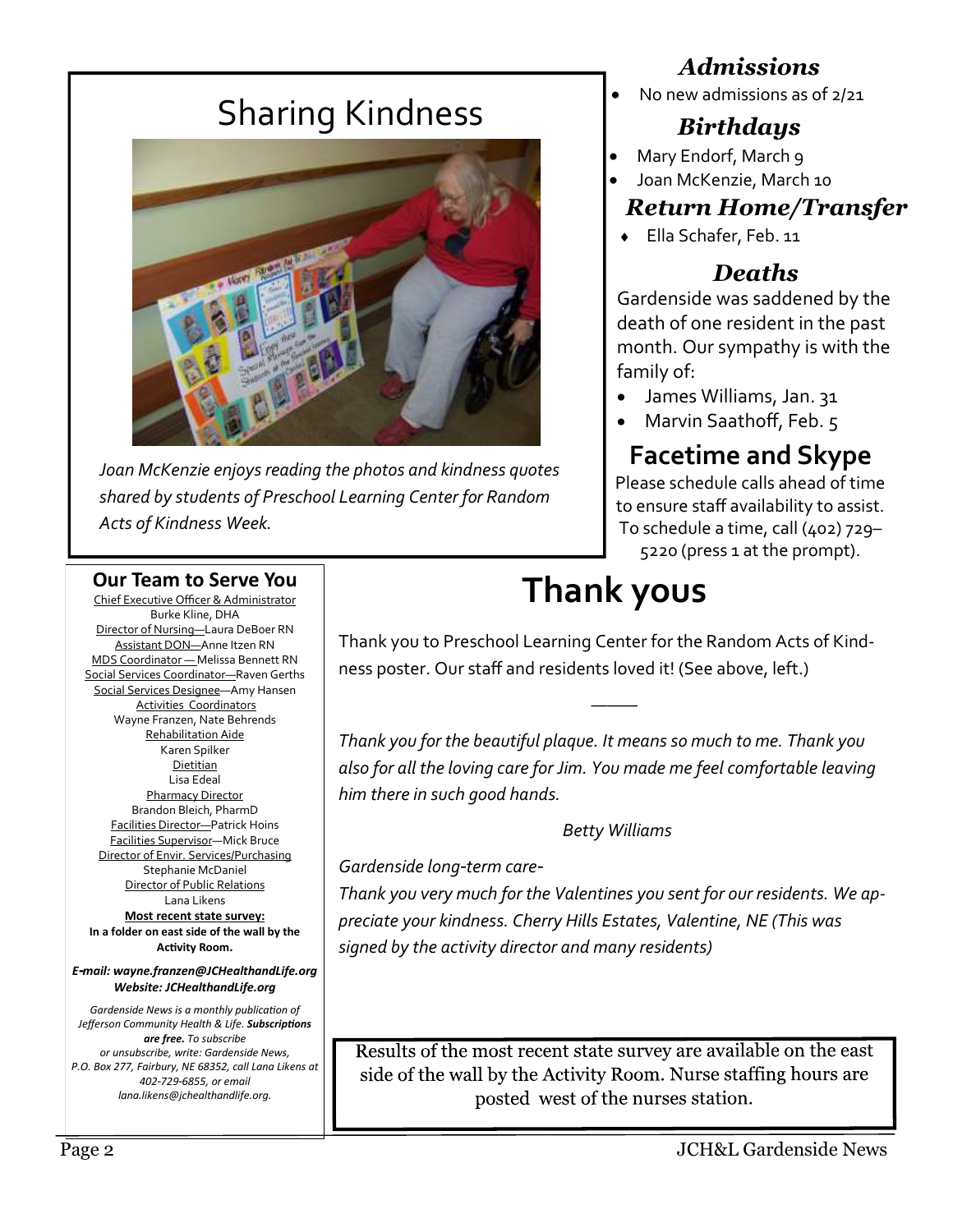# Sharing Kindness



*Joan McKenzie enjoys reading the photos and kindness quotes shared by students of Preschool Learning Center for Random Acts of Kindness Week.*

### *Admissions*

• No new admissions as of 2/21

## *Birthdays*

- Mary Endorf, March 9
- Joan McKenzie, March 10

# *Return Home/Transfer*

Ella Schafer, Feb. 11

## *Deaths*

Gardenside was saddened by the death of one resident in the past month. Our sympathy is with the family of:

- James Williams, Jan. 31
- Marvin Saathoff, Feb. 5

# **Facetime and Skype**

Please schedule calls ahead of time to ensure staff availability to assist. To schedule a time, call (402) 729– 5220 (press 1 at the prompt).

#### **Our Team to Serve You**

Chief Executive Officer & Administrator Burke Kline, DHA Director of Nursing—Laura DeBoer RN Assistant DON—Anne Itzen RN MDS Coordinator — Melissa Bennett RN Social Services Coordinator—Raven Gerths Social Services Designee—Amy Hansen Activities Coordinators Wayne Franzen, Nate Behrends Rehabilitation Aide Karen Spilker Dietitian Lisa Edeal Pharmacy Director Brandon Bleich, PharmD Facilities Director—Patrick Hoins Facilities Supervisor—Mick Bruce Director of Envir. Services/Purchasing Stephanie McDaniel Director of Public Relations Lana Likens **Most recent state survey:**

**In a folder on east side of the wall by the Activity Room.**

*E-mail: wayne.franzen@JCHealthandLife.org Website: JCHealthandLife.org*

*Gardenside News is a monthly publication of Jefferson Community Health & Life. Subscriptions are free. To subscribe or unsubscribe, write: Gardenside News, P.O. Box 277, Fairbury, NE 68352, call Lana Likens at 402-729-6855, or email lana.likens@jchealthandlife.org.*

# **Thank yous**

Thank you to Preschool Learning Center for the Random Acts of Kindness poster. Our staff and residents loved it! (See above, left.)

*———*

*Thank you for the beautiful plaque. It means so much to me. Thank you also for all the loving care for Jim. You made me feel comfortable leaving him there in such good hands.* 

#### *Betty Williams*

*Gardenside long-term care-*

*Thank you very much for the Valentines you sent for our residents. We appreciate your kindness. Cherry Hills Estates, Valentine, NE (This was signed by the activity director and many residents)*

Results of the most recent state survey are available on the east side of the wall by the Activity Room. Nurse staffing hours are posted west of the nurses station.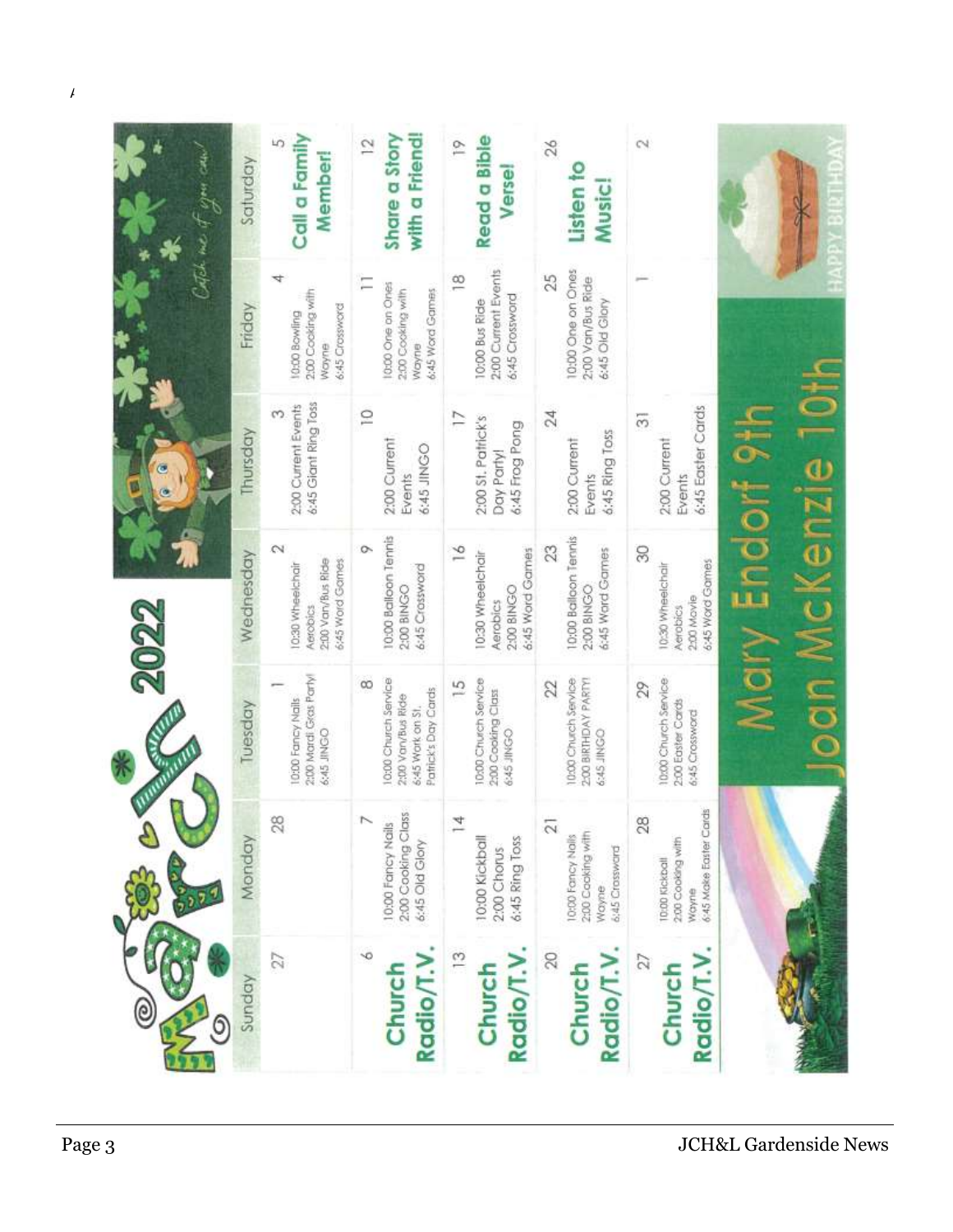| UTHE CALL    | Saturday  | Call a Family<br>LO.<br>Member                                                 | with a Friend!<br>Share a Story<br>$\overline{2}$                                                | <b>Read a Bible</b><br>P<br>Verse                                          | 26<br>Listen to<br>Music                                                                  | $\sim$                                                                       |                               |
|--------------|-----------|--------------------------------------------------------------------------------|--------------------------------------------------------------------------------------------------|----------------------------------------------------------------------------|-------------------------------------------------------------------------------------------|------------------------------------------------------------------------------|-------------------------------|
| Collect me.  | Friday    | 2:00 Cooking with<br>6:45 Crossword<br>10:00 Bowling<br>Wayne                  | Ξ<br>10:00 One on Ones<br>2:00 Cooking with<br>6:45 Word Games<br>wayne                          | 2:00 Current Events<br>$\frac{80}{10}$<br>6:45 Crossword<br>10:00 Bus Ride | 10:00 One on Ones<br>25<br>2:00 Van/Bus Ride<br>6:45 Old Glory                            |                                                                              |                               |
|              | Thursday  | 6:45 Giant Ring Toss<br>2:00 Current Events                                    | $\approx$<br>2:00 Current<br>6:45 JINGO<br>Events                                                | $\overline{1}$<br>2:00 St. Patrick's<br>6:45 Frog Pong<br>Day Partyl       | 24<br>6:45 Ring Toss<br>2:00 Current<br>Events                                            | 6:45 Easter Cards<br>5<br>2:00 Current<br>Events                             |                               |
| 2022         | Wednesday | $\sim$<br>2:00 Van/Bus Ride<br>6;45 Word Games<br>10:30 Wheelchair<br>Aerobics | 10:00 Balloon Tennis<br>ö<br>6:45 Crossword<br>2:00 BINGO                                        | $\geq$<br>6:45 Word Games<br>10:30 Wheelchair<br>2:00 BINGO<br>Aerobics    | 10:00 Balloon Tennis<br>23<br>6:45 Ward Games<br>2:00 BINGO                               | B<br>6:45 Word Games<br>10:30 Wheelchair<br>2:00 Movie<br>Aerobics           | Mary Endorf 911<br>$2$ Kenzie |
|              | Tuesday   | 2:00 Mardi Gras Partyl<br>0:00 Fancy Nails<br>6:45 JINGO                       | 10:00 Church Service<br>$\infty$<br>Patrick's Day Cards<br>2:00 Van/Bus Ride<br>6:45 Work on St. | 10:00 Church Service<br>$\frac{5}{2}$<br>2:00 Cooking Class<br>6:45 JINGO  | 10:00 Church Service<br>2:00 BIRTHDAY PARTY!<br>22<br>6:45 JINGO                          | 10:00 Church Service<br>29<br>2:00 Easter Cards<br>6:45 Crossword            | pon Mc                        |
|              | Monday    | 28                                                                             | 2:00 Cooking Class<br>10:00 Fancy Nails<br>6:45 Old Glory                                        | 10:00 Kickball<br>6:45 Ring Toss<br>2:00 Chorus                            | $\overline{\alpha}$<br>2:00 Cooking with<br>10:00 Farroy Nalls<br>6:45 Crossward<br>Wayne | 6:45 Moke Easter Cards<br>28<br>2:00 Cooking with<br>TD:00 Kickball<br>Wayne |                               |
| ම<br>$\circ$ | Sunday    | 27                                                                             | ∾<br>Radio/T.V<br>Church                                                                         | Radio/T.V.<br>$\frac{3}{2}$<br>Church                                      | Radio/T.V.<br>20<br>Church                                                                | 27<br>Radio/T.V<br>Church                                                    |                               |

 $\overline{A}$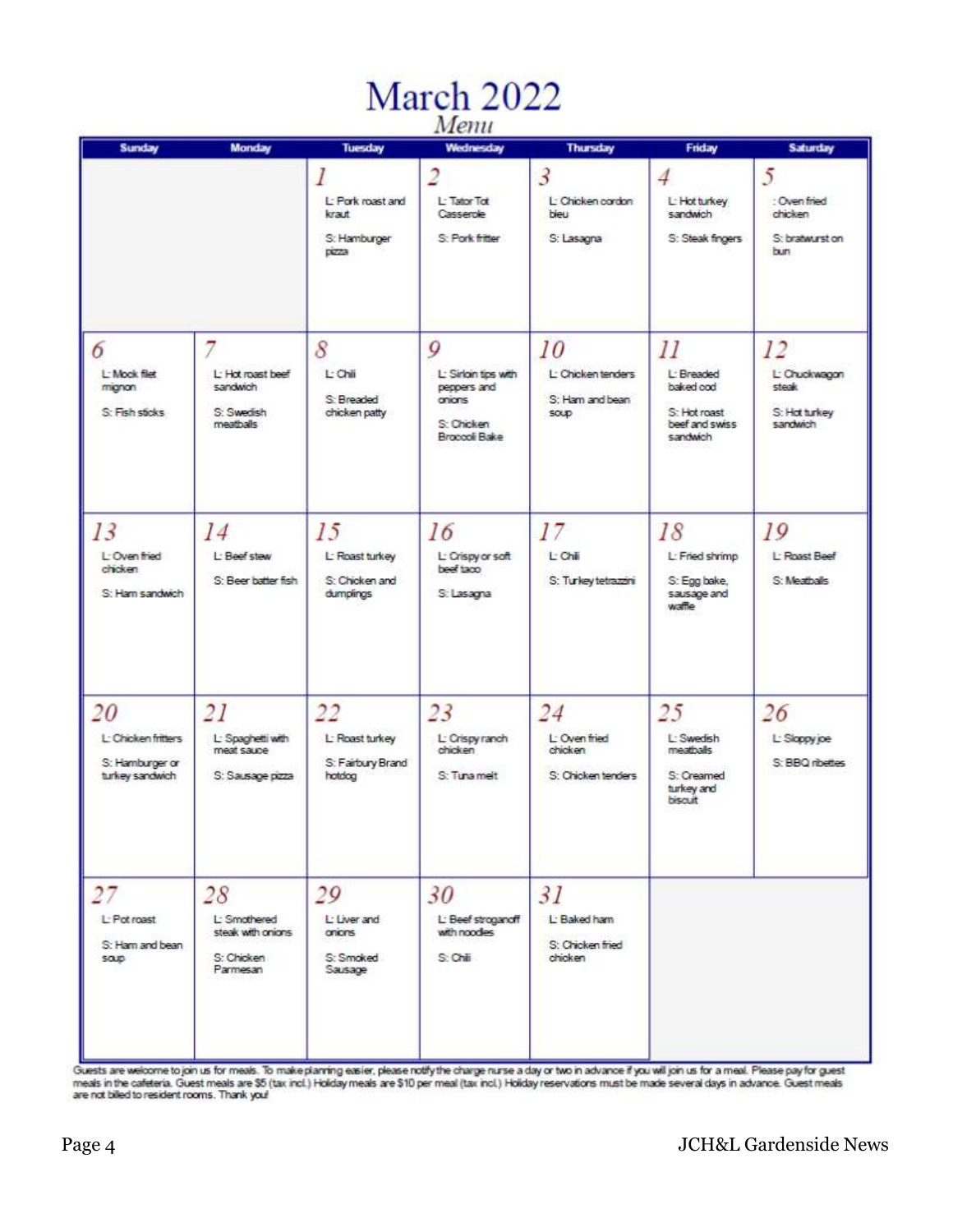# March 2022

| Sunday                                                          | Monday                                                            | <b>Tuesday</b>                                       | мени<br>Wednesday                                                                     | <b>Thursday</b>                                           | Friday                                                                      | <b>Saturday</b>                                           |
|-----------------------------------------------------------------|-------------------------------------------------------------------|------------------------------------------------------|---------------------------------------------------------------------------------------|-----------------------------------------------------------|-----------------------------------------------------------------------------|-----------------------------------------------------------|
|                                                                 |                                                                   | L: Pork roast and<br>kraut<br>S: Hamburger<br>pizza  | 2<br>L: Tator Tot<br>Casserole<br>S Pork fritter                                      | $\overline{3}$<br>L: Chicken cordon<br>bieu<br>S: Lasagna | $\overline{4}$<br>L: Hot turkey<br>sandwich<br>S: Steak fingers             | 5<br>: Oven fried<br>chicken<br>S: bratwurst on<br>bun    |
| 6<br>L: Mook filet<br>mignon<br>S: Fish sticks                  | L: Hot roast beef<br>sandwich<br>S: Swedish<br>meathalls          | 8<br>L: Chili<br>S: Breaded<br>chicken patty         | 9<br>L: Sinon tips with<br>peppers and<br>onions<br>S: Chicken<br><b>Bronock Bake</b> | 10<br>L: Chicken tenders<br>S: Ham and bean<br>SOUD       | II<br>L: Breaded<br>baked cod<br>S: Hot roast<br>beef and swiss<br>sandwich | 12<br>L: Chuckwagon<br>steak<br>S: Hot turkey<br>sandwich |
| 13<br>L-Oven fried<br>chicken<br>S: Ham sandwich                | 14<br>L: Beef stew<br>S: Beer batter fish                         | 15<br>L: Roast turkey<br>S: Chicken and<br>dumplings | 16<br>L: Crispy or soft<br>beef taco<br>S: Lasagna                                    | 17<br>L Chili<br>S: Turkey tetrazzini                     | 18<br>L: Fried shrimp<br>S: Egg bake,<br>sausage and<br>waffle              | 19<br>I - Roast Beef<br>S: Meatballs                      |
| 20<br>L: Chicken fritters<br>S: Hamburger or<br>turkey sandwich | 21<br>L: Spaghetti with<br>mest sauce<br>S: Sausage pizza         | 22<br>L: Roast turkey<br>S: Fairbury Brand<br>hotdog | 23<br>L: Crispy ranch<br>chicken<br>S: Tunamelt                                       | 24<br>L: Oven fried<br>chicken<br>S: Chicken tenders      | 25<br>L: Swedish<br>meathails<br>S: Creamed<br>turkey and<br>biscuit        | 26<br>L: Sloppy joe<br>S: BBQ ribettes                    |
| 27<br>L: Pot roast<br>S: Ham and bean<br>soup                   | 28<br>L: Smothered<br>steak with onions<br>S: Chicken<br>Parmesan | 29<br>L: Liver and<br>onions<br>S: Smoked<br>Sausage | 30<br>L: Beef stroganoff<br>with noodes<br>S Chi                                      | 31<br>L: Baked ham<br>S: Chicken fried<br>chicken         |                                                                             |                                                           |

Guests are welcome to join us for meals. To make planning easier, please notify the charge nurse a day or two in advance if you will join us for a meal. Please pay for guest<br>meals in the cafeteria. Guest meals are \$5 (tax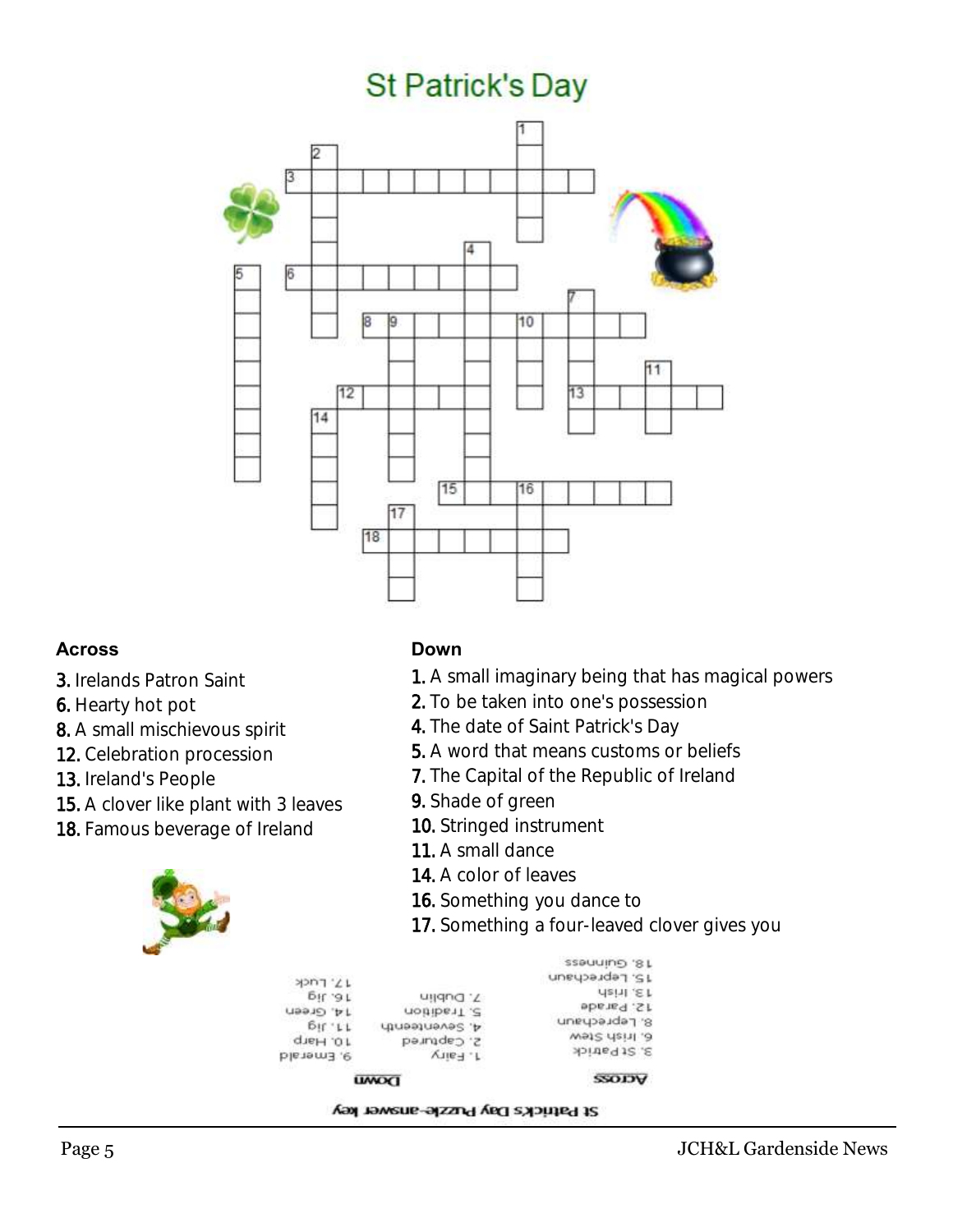# **St Patrick's Day**



#### **Across**

- 3. Irelands Patron Saint
- 6. Hearty hot pot
- 8. A small mischievous spirit
- 12. Celebration procession
- 13. Ireland's People
- 15. A clover like plant with 3 leaves
- 18. Famous beverage of Ireland



#### **Down**

- 1. A small imaginary being that has magical powers
- 2. To be taken into one's possession
- 4. The date of Saint Patrick's Day
- 5. A word that means customs or beliefs
- 7. The Capital of the Republic of Ireland
- 9. Shade of green
- 10. Stringed instrument
- 11. A small dance
- 14. A color of leaves
- 16. Something you dance to
- 17. Something a four-leaved clover gives you

| 3S9UUING '8 L  |                |                  |
|----------------|----------------|------------------|
| 15. Leprechaun |                | $11'$ rnsk       |
| dain .E.t      | 7. Dublin      | 5H.91            |
| 12. Parade     | notibe 17.2    | <b>J4. Green</b> |
| S. Leprechaun  | d, Seventeenth | Br L L           |
| Wet2 rist1. 0  | 2. Captured    | 10. Harp         |
| s. St Patrick  | T. Fairy       | 9. Emerald       |
| <b>ACTOSS</b>  | <b>UWOCI</b>   |                  |

#### St Patrick's Day Puzzle-answer key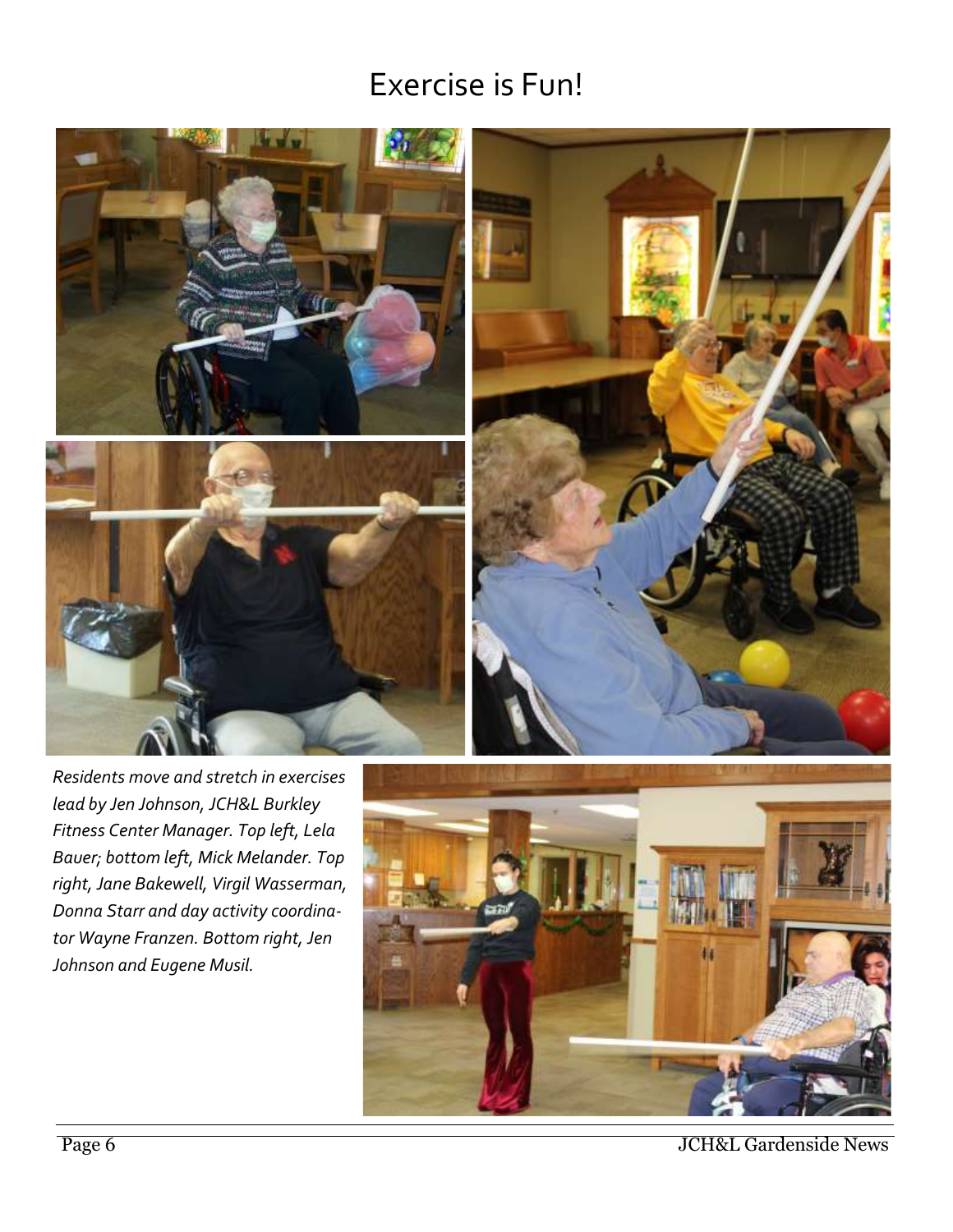## Exercise is Fun!





*Residents move and stretch in exercises lead by Jen Johnson, JCH&L Burkley Fitness Center Manager. Top left, Lela Bauer; bottom left, Mick Melander. Top right, Jane Bakewell, Virgil Wasserman, Donna Starr and day activity coordinator Wayne Franzen. Bottom right, Jen Johnson and Eugene Musil.* 



Page 6 JCH&L Gardenside News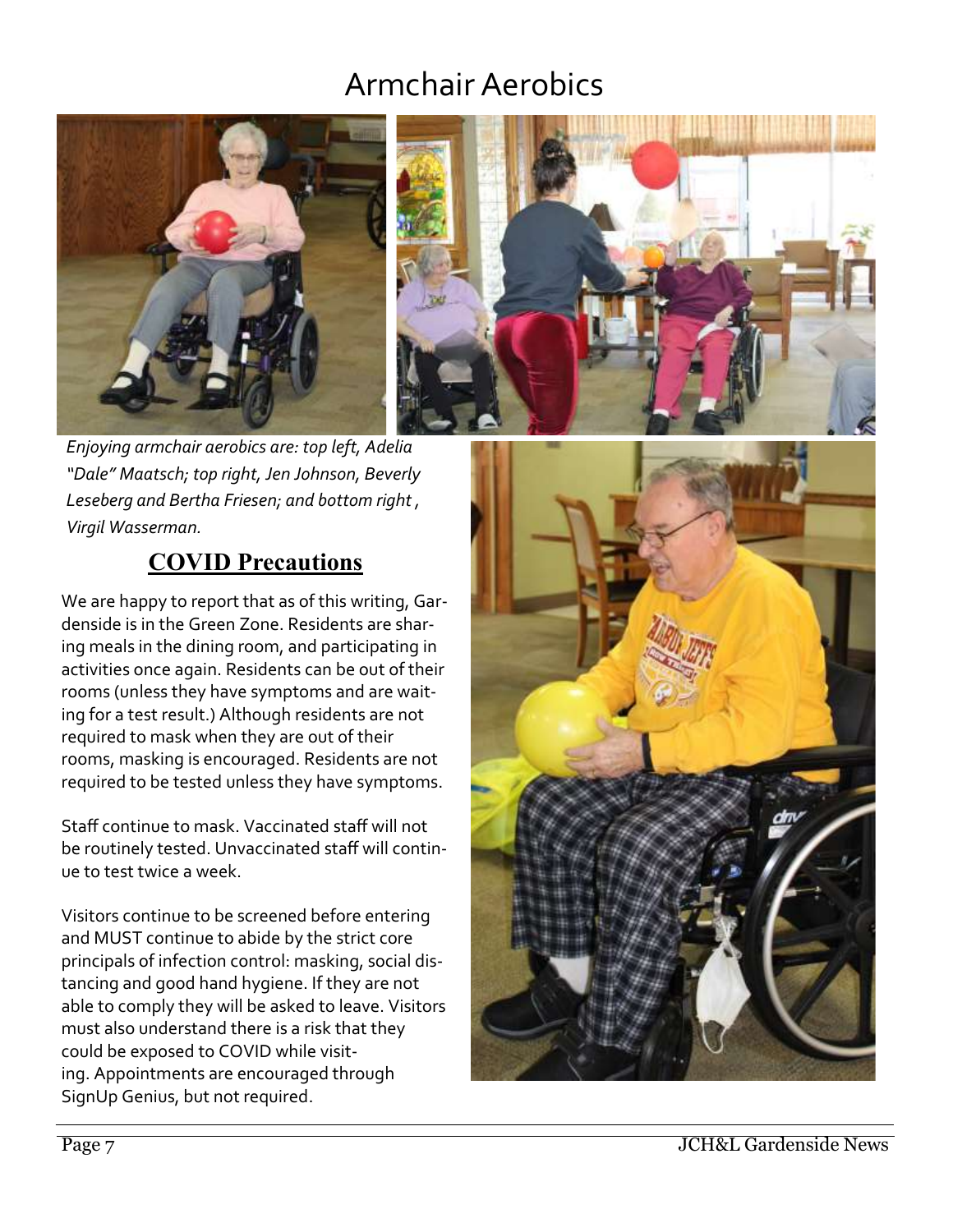# Armchair Aerobics





*Enjoying armchair aerobics are: top left, Adelia "Dale" Maatsch; top right, Jen Johnson, Beverly Leseberg and Bertha Friesen; and bottom right , Virgil Wasserman.*

#### **COVID Precautions**

We are happy to report that as of this writing, Gardenside is in the Green Zone. Residents are sharing meals in the dining room, and participating in activities once again. Residents can be out of their rooms (unless they have symptoms and are waiting for a test result.) Although residents are not required to mask when they are out of their rooms, masking is encouraged. Residents are not required to be tested unless they have symptoms.

Staff continue to mask. Vaccinated staff will not be routinely tested. Unvaccinated staff will continue to test twice a week.

Visitors continue to be screened before entering and MUST continue to abide by the strict core principals of infection control: masking, social distancing and good hand hygiene. If they are not able to comply they will be asked to leave. Visitors must also understand there is a risk that they could be exposed to COVID while visiting. Appointments are encouraged through SignUp Genius, but not required.